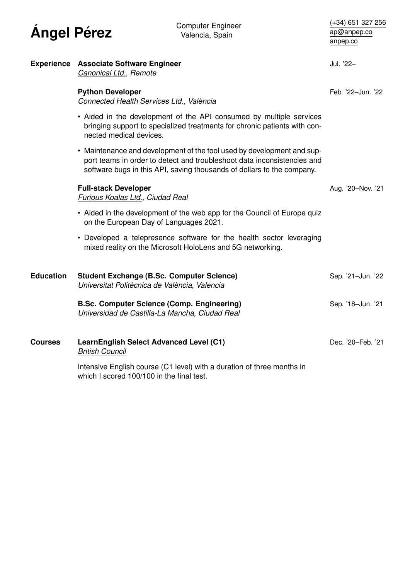